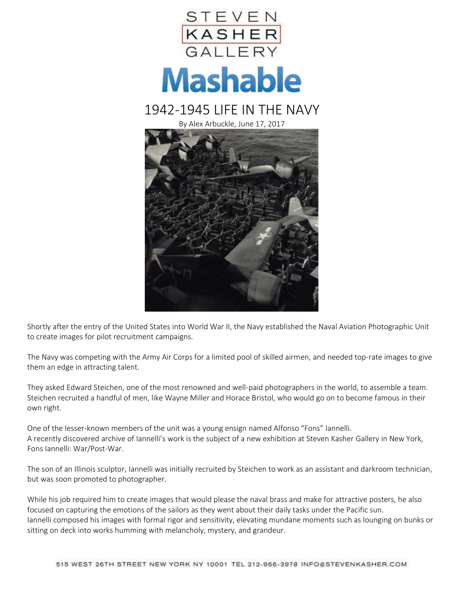

Shortly after the entry of the United States into World War II, the Navy established the Naval Aviation Photographic Unit to create images for pilot recruitment campaigns.

The Navy was competing with the Army Air Corps for a limited pool of skilled airmen, and needed top-rate images to give them an edge in attracting talent.

They asked Edward Steichen, one of the most renowned and well-paid photographers in the world, to assemble a team. Steichen recruited a handful of men, like Wayne Miller and Horace Bristol, who would go on to become famous in their own right.

One of the lesser-known members of the unit was a young ensign named Alfonso "Fons" Iannelli. A recently discovered archive of Iannelli's work is the subject of a new exhibition at Steven Kasher Gallery in New York, Fons Iannelli: War/Post-War.

The son of an Illinois sculptor, Iannelli was initially recruited by Steichen to work as an assistant and darkroom technician, but was soon promoted to photographer.

While his job required him to create images that would please the naval brass and make for attractive posters, he also focused on capturing the emotions of the sailors as they went about their daily tasks under the Pacific sun. Iannelli composed his images with formal rigor and sensitivity, elevating mundane moments such as lounging on bunks or sitting on deck into works humming with melancholy, mystery, and grandeur.